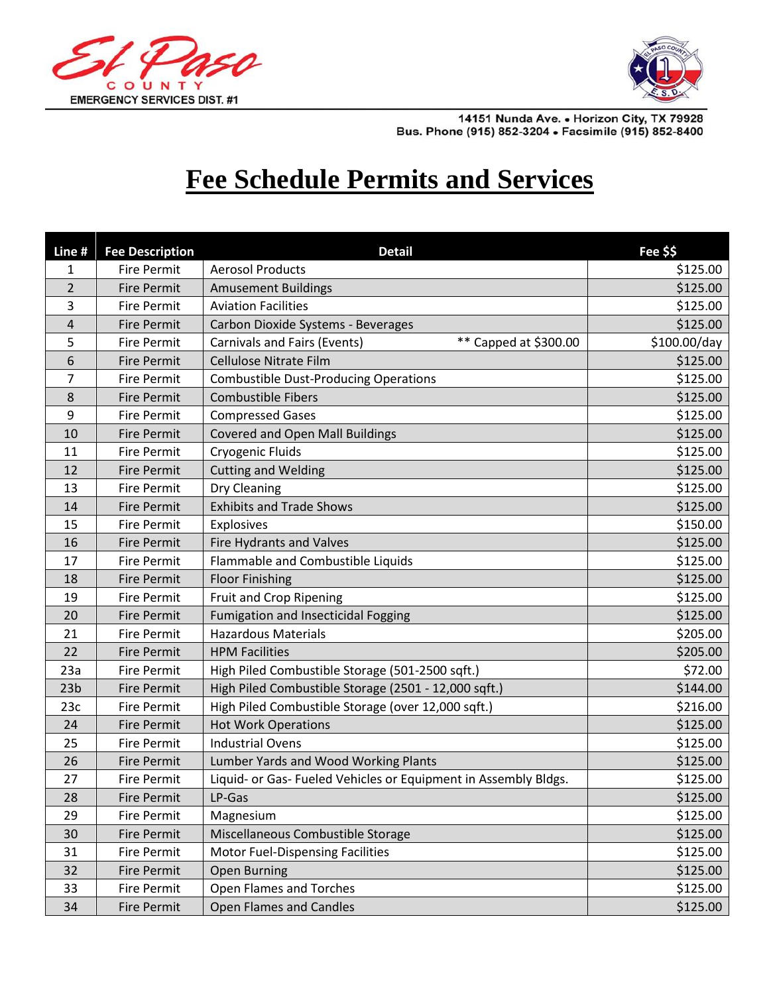



14151 Nunda Ave. • Horizon City, TX 79928<br>Bus. Phone (915) 852-3204 • Facsimile (915) 852-8400

## **Fee Schedule Permits and Services**

| Line #          | <b>Fee Description</b> | <b>Detail</b>                                                   | Fee \$\$     |
|-----------------|------------------------|-----------------------------------------------------------------|--------------|
| 1               | <b>Fire Permit</b>     | <b>Aerosol Products</b>                                         | \$125.00     |
| $\overline{2}$  | <b>Fire Permit</b>     | <b>Amusement Buildings</b>                                      | \$125.00     |
| 3               | <b>Fire Permit</b>     | <b>Aviation Facilities</b>                                      | \$125.00     |
| $\overline{4}$  | <b>Fire Permit</b>     | Carbon Dioxide Systems - Beverages                              | \$125.00     |
| 5               | <b>Fire Permit</b>     | ** Capped at \$300.00<br><b>Carnivals and Fairs (Events)</b>    | \$100.00/day |
| 6               | <b>Fire Permit</b>     | Cellulose Nitrate Film                                          | \$125.00     |
| 7               | <b>Fire Permit</b>     | <b>Combustible Dust-Producing Operations</b>                    | \$125.00     |
| 8               | <b>Fire Permit</b>     | <b>Combustible Fibers</b>                                       | \$125.00     |
| 9               | <b>Fire Permit</b>     | <b>Compressed Gases</b>                                         | \$125.00     |
| 10              | <b>Fire Permit</b>     | <b>Covered and Open Mall Buildings</b>                          | \$125.00     |
| 11              | <b>Fire Permit</b>     | Cryogenic Fluids                                                | \$125.00     |
| 12              | <b>Fire Permit</b>     | <b>Cutting and Welding</b>                                      | \$125.00     |
| 13              | <b>Fire Permit</b>     | Dry Cleaning                                                    | \$125.00     |
| 14              | <b>Fire Permit</b>     | <b>Exhibits and Trade Shows</b>                                 | \$125.00     |
| 15              | <b>Fire Permit</b>     | Explosives                                                      | \$150.00     |
| 16              | <b>Fire Permit</b>     | Fire Hydrants and Valves                                        | \$125.00     |
| 17              | <b>Fire Permit</b>     | Flammable and Combustible Liquids                               | \$125.00     |
| 18              | <b>Fire Permit</b>     | <b>Floor Finishing</b>                                          | \$125.00     |
| 19              | <b>Fire Permit</b>     | Fruit and Crop Ripening                                         | \$125.00     |
| 20              | <b>Fire Permit</b>     | <b>Fumigation and Insecticidal Fogging</b>                      | \$125.00     |
| 21              | <b>Fire Permit</b>     | <b>Hazardous Materials</b>                                      | \$205.00     |
| 22              | <b>Fire Permit</b>     | <b>HPM Facilities</b>                                           | \$205.00     |
| 23a             | <b>Fire Permit</b>     | High Piled Combustible Storage (501-2500 sqft.)                 | \$72.00      |
| 23 <sub>b</sub> | <b>Fire Permit</b>     | High Piled Combustible Storage (2501 - 12,000 sqft.)            | \$144.00     |
| 23c             | <b>Fire Permit</b>     | High Piled Combustible Storage (over 12,000 sqft.)              | \$216.00     |
| 24              | <b>Fire Permit</b>     | <b>Hot Work Operations</b>                                      | \$125.00     |
| 25              | <b>Fire Permit</b>     | <b>Industrial Ovens</b>                                         | \$125.00     |
| 26              | <b>Fire Permit</b>     | Lumber Yards and Wood Working Plants                            | \$125.00     |
| 27              | <b>Fire Permit</b>     | Liquid- or Gas- Fueled Vehicles or Equipment in Assembly Bldgs. | \$125.00     |
| 28              | <b>Fire Permit</b>     | LP-Gas                                                          | \$125.00     |
| 29              | Fire Permit            | Magnesium                                                       | \$125.00     |
| 30              | Fire Permit            | Miscellaneous Combustible Storage                               | \$125.00     |
| 31              | Fire Permit            | <b>Motor Fuel-Dispensing Facilities</b>                         | \$125.00     |
| 32              | Fire Permit            | <b>Open Burning</b>                                             | \$125.00     |
| 33              | Fire Permit            | Open Flames and Torches                                         | \$125.00     |
| 34              | <b>Fire Permit</b>     | <b>Open Flames and Candles</b>                                  | \$125.00     |